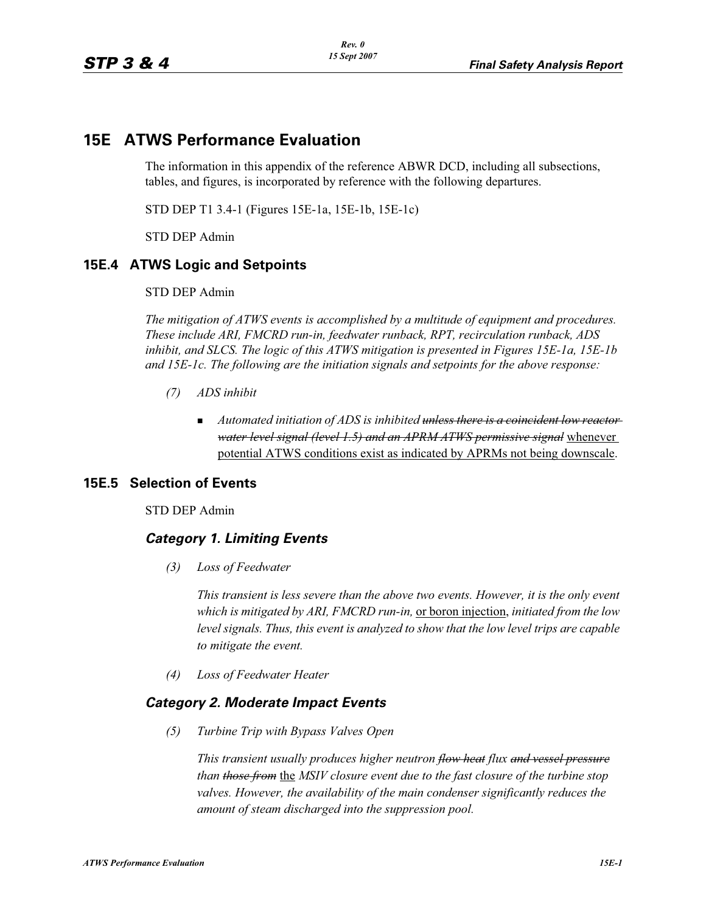# **15E ATWS Performance Evaluation**

The information in this appendix of the reference ABWR DCD, including all subsections, tables, and figures, is incorporated by reference with the following departures.

STD DEP T1 3.4-1 (Figures 15E-1a, 15E-1b, 15E-1c)

STD DEP Admin

## **15E.4 ATWS Logic and Setpoints**

STD DEP Admin

*The mitigation of ATWS events is accomplished by a multitude of equipment and procedures. These include ARI, FMCRD run-in, feedwater runback, RPT, recirculation runback, ADS inhibit, and SLCS. The logic of this ATWS mitigation is presented in Figures 15E-1a, 15E-1b and 15E-1c. The following are the initiation signals and setpoints for the above response:*

- *(7) ADS inhibit*
	- - *Automated initiation of ADS is inhibited unless there is a coincident low reactor water level signal (level 1.5) and an APRM ATWS permissive signal* whenever potential ATWS conditions exist as indicated by APRMs not being downscale.

## **15E.5 Selection of Events**

STD DEP Admin

## *Category 1. Limiting Events*

*(3) Loss of Feedwater*

*This transient is less severe than the above two events. However, it is the only event which is mitigated by ARI, FMCRD run-in,* or boron injection, *initiated from the low level signals. Thus, this event is analyzed to show that the low level trips are capable to mitigate the event.*

*(4) Loss of Feedwater Heater*

## *Category 2. Moderate Impact Events*

*(5) Turbine Trip with Bypass Valves Open*

*This transient usually produces higher neutron flow heat flux and vessel pressure than those from* the *MSIV closure event due to the fast closure of the turbine stop*  valves. However, the availability of the main condenser significantly reduces the *amount of steam discharged into the suppression pool.*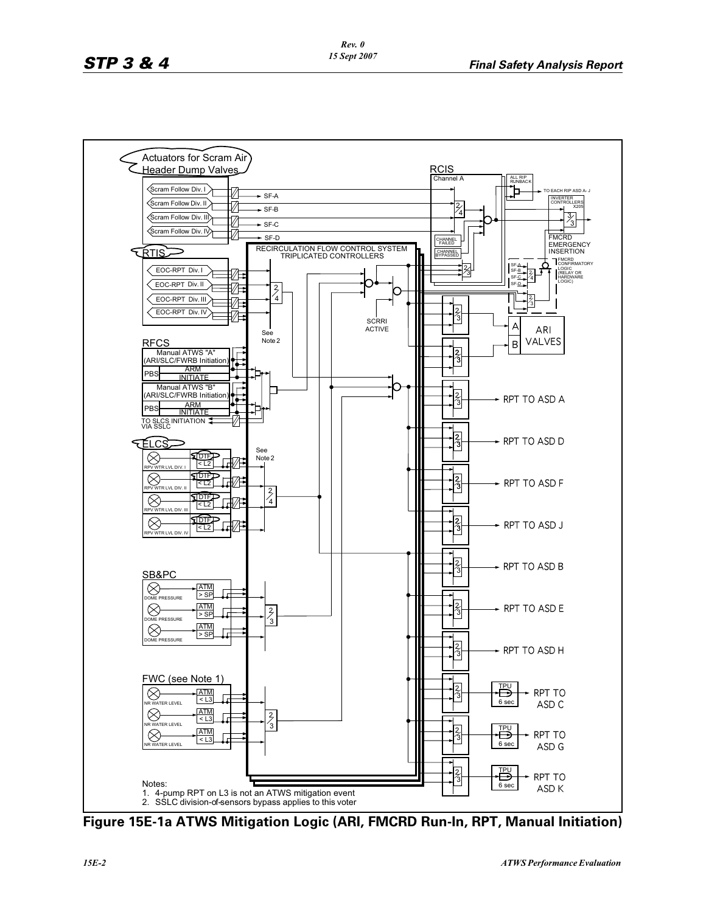

**Figure 15E-1a ATWS Mitigation Logic (ARI, FMCRD Run-In, RPT, Manual Initiation)**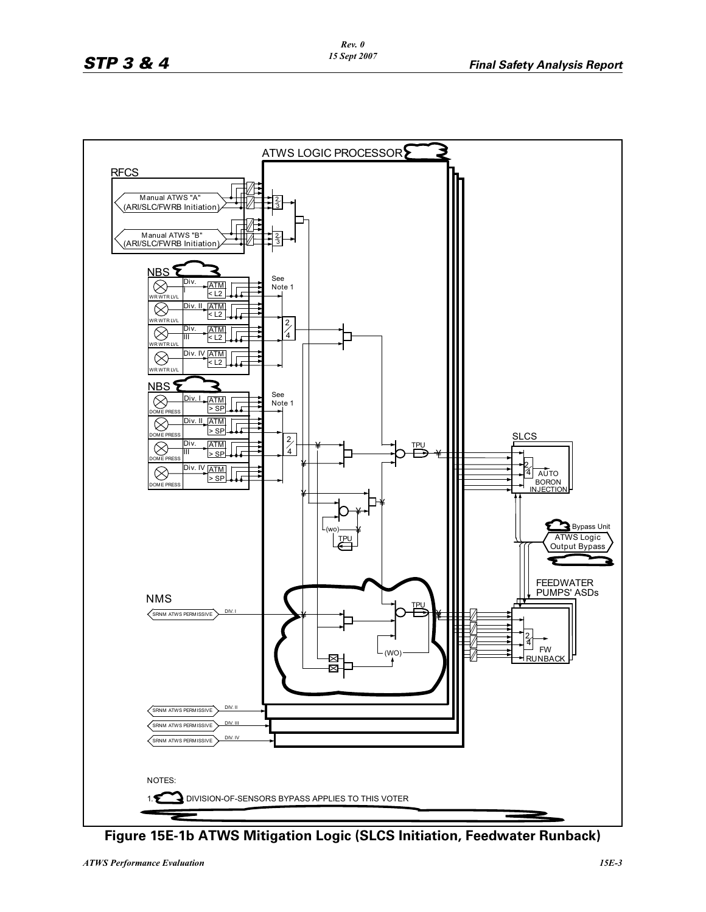

**Figure 15E-1b ATWS Mitigation Logic (SLCS Initiation, Feedwater Runback)**